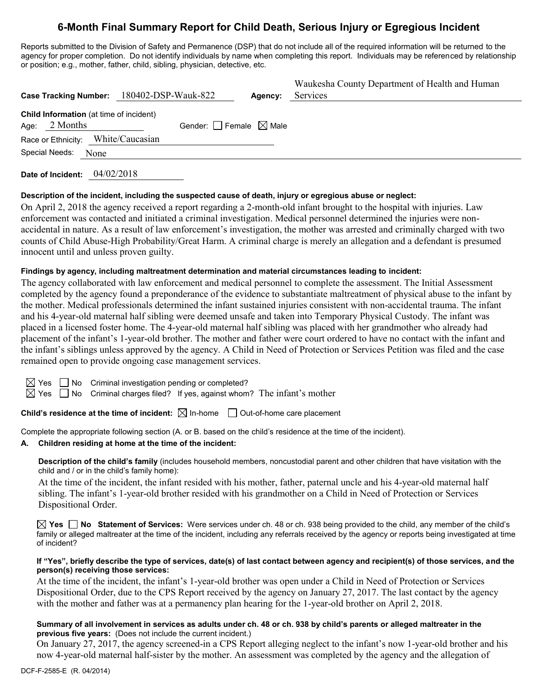# **6-Month Final Summary Report for Child Death, Serious Injury or Egregious Incident**

Reports submitted to the Division of Safety and Permanence (DSP) that do not include all of the required information will be returned to the agency for proper completion. Do not identify individuals by name when completing this report. Individuals may be referenced by relationship or position; e.g., mother, father, child, sibling, physician, detective, etc.

|      | Case Tracking Number: 180402-DSP-Wauk-822                  |                                        | Agency: | Waukesha County Department of Health and Human<br>Services |
|------|------------------------------------------------------------|----------------------------------------|---------|------------------------------------------------------------|
| Age: | <b>Child Information</b> (at time of incident)<br>2 Months | Gender: $\Box$ Female $\boxtimes$ Male |         |                                                            |
|      | Race or Ethnicity: White/Caucasian                         |                                        |         |                                                            |
|      | Special Needs: None                                        |                                        |         |                                                            |

**Date of Incident:** 04/02/2018

## **Description of the incident, including the suspected cause of death, injury or egregious abuse or neglect:**

On April 2, 2018 the agency received a report regarding a 2-month-old infant brought to the hospital with injuries. Law enforcement was contacted and initiated a criminal investigation. Medical personnel determined the injuries were nonaccidental in nature. As a result of law enforcement's investigation, the mother was arrested and criminally charged with two counts of Child Abuse-High Probability/Great Harm. A criminal charge is merely an allegation and a defendant is presumed innocent until and unless proven guilty.

## **Findings by agency, including maltreatment determination and material circumstances leading to incident:**

The agency collaborated with law enforcement and medical personnel to complete the assessment. The Initial Assessment completed by the agency found a preponderance of the evidence to substantiate maltreatment of physical abuse to the infant by the mother. Medical professionals determined the infant sustained injuries consistent with non-accidental trauma. The infant and his 4-year-old maternal half sibling were deemed unsafe and taken into Temporary Physical Custody. The infant was placed in a licensed foster home. The 4-year-old maternal half sibling was placed with her grandmother who already had placement of the infant's 1-year-old brother. The mother and father were court ordered to have no contact with the infant and the infant's siblings unless approved by the agency. A Child in Need of Protection or Services Petition was filed and the case remained open to provide ongoing case management services.

| ⇔           |  |
|-------------|--|
| L<br>⇔<br>s |  |

Yes  $\Box$  No Criminal investigation pending or completed?

Yes  $\quad \Box$  No Criminal charges filed? If yes, against whom? The infant's mother

**Child's residence at the time of incident:**  $\boxtimes$  In-home  $\Box$  Out-of-home care placement

Complete the appropriate following section (A. or B. based on the child's residence at the time of the incident).

## **A. Children residing at home at the time of the incident:**

**Description of the child's family** (includes household members, noncustodial parent and other children that have visitation with the child and / or in the child's family home):

At the time of the incident, the infant resided with his mother, father, paternal uncle and his 4-year-old maternal half sibling. The infant's 1-year-old brother resided with his grandmother on a Child in Need of Protection or Services Dispositional Order.

**Yes No Statement of Services:** Were services under ch. 48 or ch. 938 being provided to the child, any member of the child's family or alleged maltreater at the time of the incident, including any referrals received by the agency or reports being investigated at time of incident?

#### **If "Yes", briefly describe the type of services, date(s) of last contact between agency and recipient(s) of those services, and the person(s) receiving those services:**

At the time of the incident, the infant's 1-year-old brother was open under a Child in Need of Protection or Services Dispositional Order, due to the CPS Report received by the agency on January 27, 2017. The last contact by the agency with the mother and father was at a permanency plan hearing for the 1-year-old brother on April 2, 2018.

#### **Summary of all involvement in services as adults under ch. 48 or ch. 938 by child's parents or alleged maltreater in the previous five years:** (Does not include the current incident.)

On January 27, 2017, the agency screened-in a CPS Report alleging neglect to the infant's now 1-year-old brother and his now 4-year-old maternal half-sister by the mother. An assessment was completed by the agency and the allegation of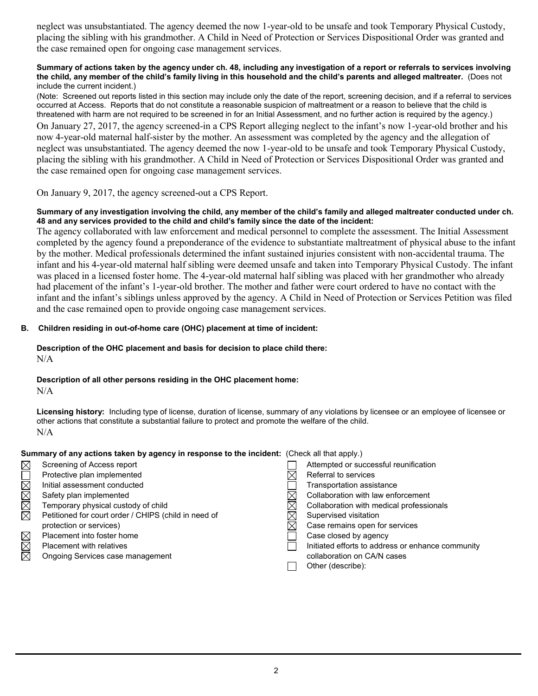neglect was unsubstantiated. The agency deemed the now 1-year-old to be unsafe and took Temporary Physical Custody, placing the sibling with his grandmother. A Child in Need of Protection or Services Dispositional Order was granted and the case remained open for ongoing case management services.

#### **Summary of actions taken by the agency under ch. 48, including any investigation of a report or referrals to services involving the child, any member of the child's family living in this household and the child's parents and alleged maltreater.** (Does not include the current incident.)

(Note: Screened out reports listed in this section may include only the date of the report, screening decision, and if a referral to services occurred at Access. Reports that do not constitute a reasonable suspicion of maltreatment or a reason to believe that the child is threatened with harm are not required to be screened in for an Initial Assessment, and no further action is required by the agency.) On January 27, 2017, the agency screened-in a CPS Report alleging neglect to the infant's now 1-year-old brother and his now 4-year-old maternal half-sister by the mother. An assessment was completed by the agency and the allegation of neglect was unsubstantiated. The agency deemed the now 1-year-old to be unsafe and took Temporary Physical Custody, placing the sibling with his grandmother. A Child in Need of Protection or Services Dispositional Order was granted and the case remained open for ongoing case management services.

On January 9, 2017, the agency screened-out a CPS Report.

# **Summary of any investigation involving the child, any member of the child's family and alleged maltreater conducted under ch. 48 and any services provided to the child and child's family since the date of the incident:**

The agency collaborated with law enforcement and medical personnel to complete the assessment. The Initial Assessment completed by the agency found a preponderance of the evidence to substantiate maltreatment of physical abuse to the infant by the mother. Medical professionals determined the infant sustained injuries consistent with non-accidental trauma. The infant and his 4-year-old maternal half sibling were deemed unsafe and taken into Temporary Physical Custody. The infant was placed in a licensed foster home. The 4-year-old maternal half sibling was placed with her grandmother who already had placement of the infant's 1-year-old brother. The mother and father were court ordered to have no contact with the infant and the infant's siblings unless approved by the agency. A Child in Need of Protection or Services Petition was filed and the case remained open to provide ongoing case management services.

# **B. Children residing in out-of-home care (OHC) placement at time of incident:**

# **Description of the OHC placement and basis for decision to place child there:**

N/A

# **Description of all other persons residing in the OHC placement home:**

N/A

**Licensing history:** Including type of license, duration of license, summary of any violations by licensee or an employee of licensee or other actions that constitute a substantial failure to protect and promote the welfare of the child. N/A

# **Summary of any actions taken by agency in response to the incident:** (Check all that apply.)

| $\boxtimes$ | Screening of Access report                           | Attempted or successful reunification             |
|-------------|------------------------------------------------------|---------------------------------------------------|
|             | Protective plan implemented                          | Referral to services                              |
| $\boxtimes$ | Initial assessment conducted                         | Transportation assistance                         |
| $\boxtimes$ | Safety plan implemented                              | Collaboration with law enforcement                |
| $\boxtimes$ | Temporary physical custody of child                  | Collaboration with medical professionals          |
| 闵           | Petitioned for court order / CHIPS (child in need of | Supervised visitation                             |
|             | protection or services)                              | Case remains open for services                    |
| $\boxtimes$ | Placement into foster home                           | Case closed by agency                             |
| $\boxtimes$ | <b>Placement with relatives</b>                      | Initiated efforts to address or enhance community |
| $\boxtimes$ | Ongoing Services case management                     | collaboration on CA/N cases                       |
|             |                                                      | Other (describe):                                 |
|             |                                                      |                                                   |